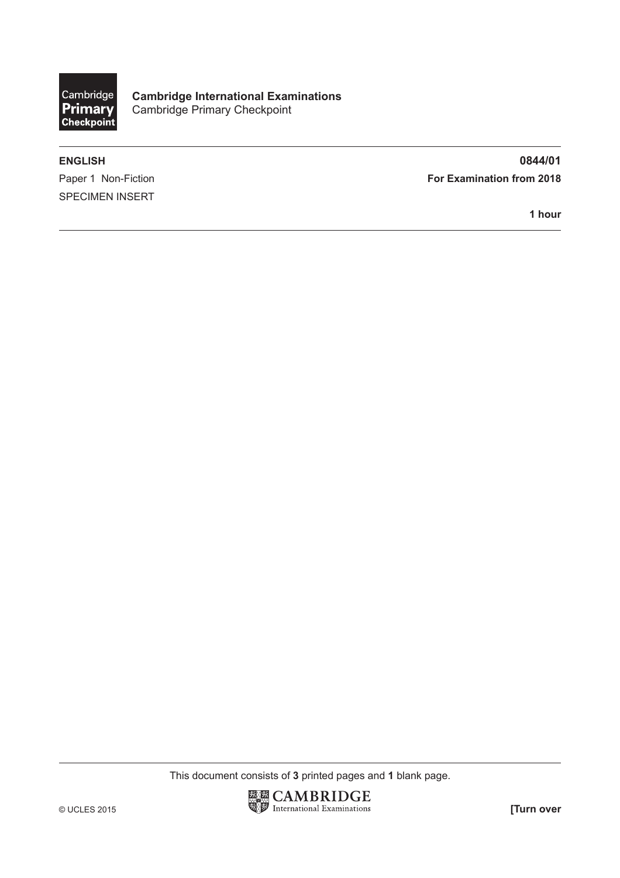

**Cambridge International Examinations** Cambridge Primary Checkpoint

SPECIMEN INSERT

**ENGLISH 0844/01** Paper 1 Non-Fiction **For Examination from 2018** 

**1 hour**

This document consists of **3** printed pages and **1** blank page.

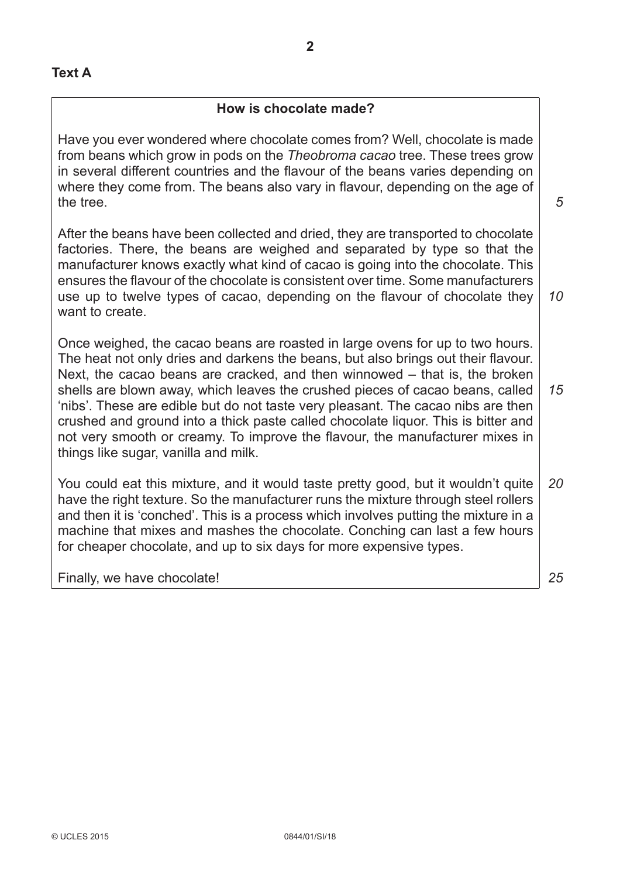## **How is chocolate made?**

Have you ever wondered where chocolate comes from? Well, chocolate is made from beans which grow in pods on the *Theobroma cacao* tree. These trees grow in several different countries and the flavour of the beans varies depending on where they come from. The beans also vary in flavour, depending on the age of the tree.

After the beans have been collected and dried, they are transported to chocolate factories. There, the beans are weighed and separated by type so that the manufacturer knows exactly what kind of cacao is going into the chocolate. This ensures the flavour of the chocolate is consistent over time. Some manufacturers use up to twelve types of cacao, depending on the flavour of chocolate they want to create.

Once weighed, the cacao beans are roasted in large ovens for up to two hours. The heat not only dries and darkens the beans, but also brings out their flavour. Next, the cacao beans are cracked, and then winnowed – that is, the broken shells are blown away, which leaves the crushed pieces of cacao beans, called 'nibs'. These are edible but do not taste very pleasant. The cacao nibs are then crushed and ground into a thick paste called chocolate liquor. This is bitter and not very smooth or creamy. To improve the flavour, the manufacturer mixes in things like sugar, vanilla and milk. *15*

You could eat this mixture, and it would taste pretty good, but it wouldn't quite have the right texture. So the manufacturer runs the mixture through steel rollers and then it is 'conched'. This is a process which involves putting the mixture in a machine that mixes and mashes the chocolate. Conching can last a few hours for cheaper chocolate, and up to six days for more expensive types. *20*

Finally, we have chocolate!

*10*

*5*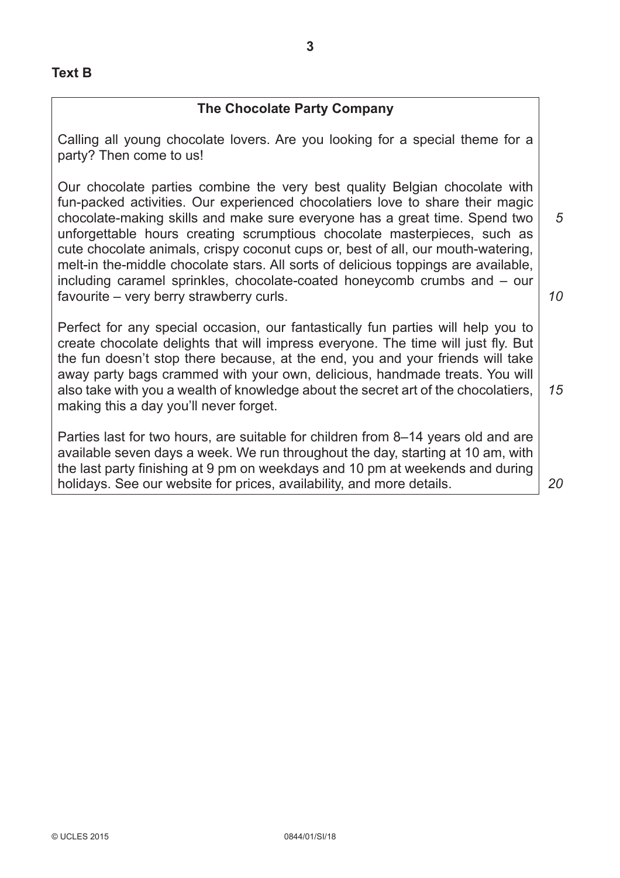## **The Chocolate Party Company**

Calling all young chocolate lovers. Are you looking for a special theme for a party? Then come to us!

Our chocolate parties combine the very best quality Belgian chocolate with fun-packed activities. Our experienced chocolatiers love to share their magic chocolate-making skills and make sure everyone has a great time. Spend two unforgettable hours creating scrumptious chocolate masterpieces, such as cute chocolate animals, crispy coconut cups or, best of all, our mouth-watering, melt-in the-middle chocolate stars. All sorts of delicious toppings are available, including caramel sprinkles, chocolate-coated honeycomb crumbs and – our favourite – very berry strawberry curls. *10*

Perfect for any special occasion, our fantastically fun parties will help you to create chocolate delights that will impress everyone. The time will just fly. But the fun doesn't stop there because, at the end, you and your friends will take away party bags crammed with your own, delicious, handmade treats. You will also take with you a wealth of knowledge about the secret art of the chocolatiers, making this a day you'll never forget.

Parties last for two hours, are suitable for children from 8–14 years old and are available seven days a week. We run throughout the day, starting at 10 am, with the last party finishing at 9 pm on weekdays and 10 pm at weekends and during holidays. See our website for prices, availability, and more details.

*20*

*15*

*5*